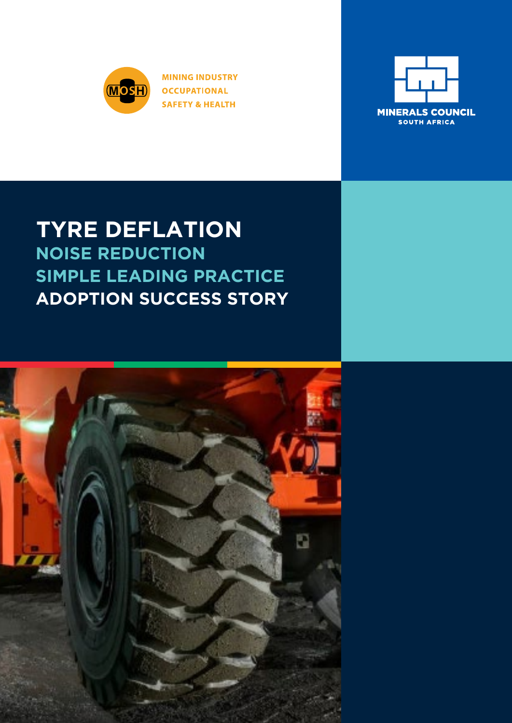

**MINING INDUSTRY OCCUPATIONAL SAFETY & HEALTH** 



# **NOISE REDUCTION SIMPLE LEADING PRACTICE ADOPTION SUCCESS STORY TYRE DEFLATION**

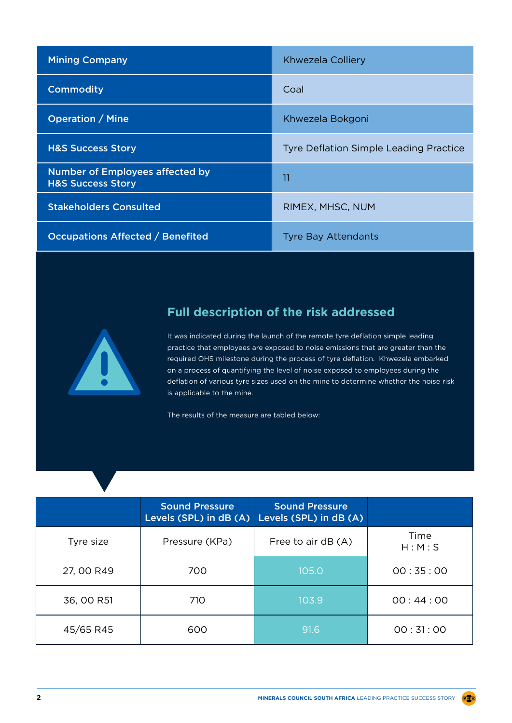| <b>Mining Company</b>                                                  | Khwezela Colliery                             |
|------------------------------------------------------------------------|-----------------------------------------------|
| <b>Commodity</b>                                                       | Coal                                          |
| <b>Operation / Mine</b>                                                | Khwezela Bokgoni                              |
| <b>H&amp;S Success Story</b>                                           | <b>Tyre Deflation Simple Leading Practice</b> |
| <b>Number of Employees affected by</b><br><b>H&amp;S Success Story</b> | 11                                            |
| <b>Stakeholders Consulted</b>                                          | RIMEX, MHSC, NUM                              |
| <b>Occupations Affected / Benefited</b>                                | <b>Tyre Bay Attendants</b>                    |



# **Full description of the risk addressed**

It was indicated during the launch of the remote tyre deflation simple leading practice that employees are exposed to noise emissions that are greater than the required OHS milestone during the process of tyre deflation. Khwezela embarked on a process of quantifying the level of noise exposed to employees during the deflation of various tyre sizes used on the mine to determine whether the noise risk is applicable to the mine.

The results of the measure are tabled below:

|            | <b>Sound Pressure</b><br>Levels (SPL) in dB (A) | <b>Sound Pressure</b><br>Levels (SPL) in dB (A) |                 |
|------------|-------------------------------------------------|-------------------------------------------------|-----------------|
| Tyre size  | Pressure (KPa)                                  | Free to air $dB(A)$                             | Time<br>H: M: S |
| 27, 00 R49 | 700                                             | 105.0                                           | 00:35:00        |
| 36, 00 R51 | 710                                             | 103.9                                           | 00:44:00        |
| 45/65 R45  | 600                                             | 91.6                                            | 00:31:00        |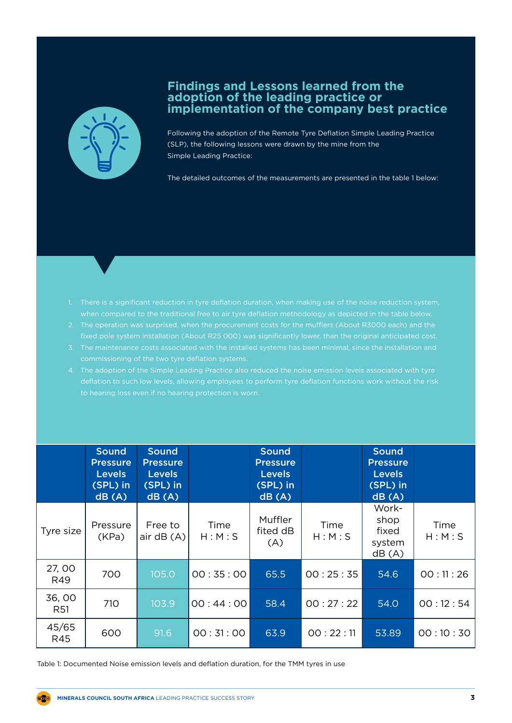

#### **Findings and Lessons learned from the adoption of the leading practice or implementation of the company best practice**

Following the adoption of the Remote Tyre Deflation Simple Leading Practice (SLP), the following lessons were drawn by the mine from the Simple Leading Practice:

The detailed outcomes of the measurements are presented in the table 1 below:

- 
- 2. The operation was surprised, when the procurement costs for the mufflers (About R3000 each) and the
- 
- 

|                     | <b>Sound</b><br><b>Pressure</b><br><b>Levels</b><br>(SPL) in<br>dB(A) | <b>Sound</b><br><b>Pressure</b><br><b>Levels</b><br>(SPL) in<br>dB(A) |                 | <b>Sound</b><br><b>Pressure</b><br><b>Levels</b><br>(SPL) in<br>dB(A) |                 | <b>Sound</b><br><b>Pressure</b><br><b>Levels</b><br>(SPL) in<br>dB(A) |                 |
|---------------------|-----------------------------------------------------------------------|-----------------------------------------------------------------------|-----------------|-----------------------------------------------------------------------|-----------------|-----------------------------------------------------------------------|-----------------|
| Tyre size           | Pressure<br>(KPa)                                                     | Free to<br>air $dB(A)$                                                | Time<br>H: M: S | Muffler<br>fited dB<br>(A)                                            | Time<br>H: M: S | Work-<br>shop<br>fixed<br>system<br>dB(A)                             | Time<br>H: M: S |
| 27,00<br>R49        | 700                                                                   | 105.0                                                                 | 00:35:00        | 65.5                                                                  | 00:25:35        | 54.6                                                                  | 00:11:26        |
| 36,00<br><b>R51</b> | 710                                                                   | 103.9                                                                 | 00:44:00        | 58.4                                                                  | 00:27:22        | 54.0                                                                  | 00:12:54        |
| 45/65<br><b>R45</b> | 600                                                                   | 91.6                                                                  | 00:31:00        | 63.9                                                                  | 00:22:11        | 53.89                                                                 | 00:10:30        |

Table 1: Documented Noise emission levels and deflation duration, for the TMM tyres in use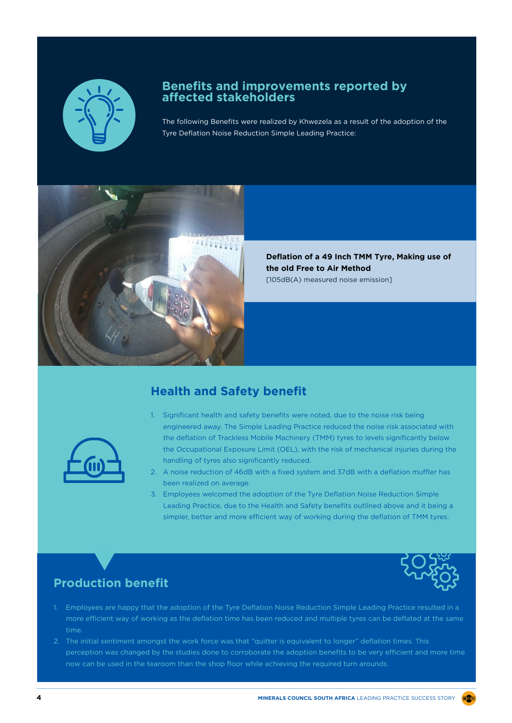

#### **Benefits and improvements reported by affected stakeholders**

The following Benefits were realized by Khwezela as a result of the adoption of the Tyre Deflation Noise Reduction Simple Leading Practice:



**Deflation of a 49 Inch TMM Tyre, Making use of the old Free to Air Method**  [105dB(A) measured noise emission]



#### **Health and Safety benefit**

- 1. Significant health and safety benefits were noted, due to the noise risk being engineered away. The Simple Leading Practice reduced the noise risk associated with the deflation of Trackless Mobile Machinery (TMM) tyres to levels significantly below the Occupational Exposure Limit (OEL), with the risk of mechanical injuries during the handling of tyres also significantly reduced.
- 2. A noise reduction of 46dB with a fixed system and 37dB with a deflation muffler has been realized on average.
- 3. Employees welcomed the adoption of the Tyre Deflation Noise Reduction Simple Leading Practice, due to the Health and Safety benefits outlined above and it being a simpler, better and more efficient way of working during the deflation of TMM tyres.



## **Production benefit**

- 1. Employees are happy that the adoption of the Tyre Deflation Noise Reduction Simple Leading Practice resulted in a more efficient way of working as the deflation time has been reduced and multiple tyres can be deflated at the same time.
- 2. The initial sentiment amongst the work force was that "quitter is equivalent to longer" deflation times. This perception was changed by the studies done to corroborate the adoption benefits to be very efficient and more time now can be used in the tearoom than the shop floor while achieving the required turn arounds.